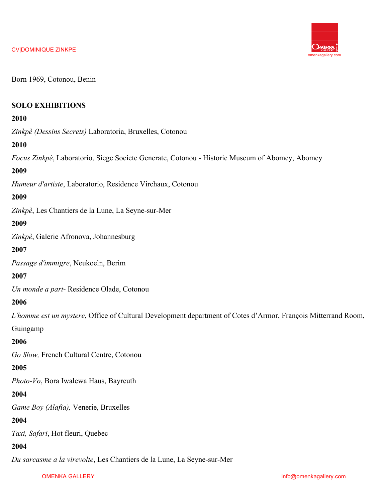

Born 1969, Cotonou, Benin

## **SOLO EXHIBITIONS**

## **2010**

*Zinkpè (Dessins Secrets)* Laboratoria, Bruxelles, Cotonou

## **2010**

*Focus Zinkpè*, Laboratorio, Siege Societe Generate, Cotonou - Historic Museum of Abomey, Abomey

## **2009**

*Humeur d'artiste*, Laboratorio, Residence Virchaux, Cotonou

#### **2009**

*Zinkpè*, Les Chantiers de la Lune, La Seyne-sur-Mer

#### **2009**

*Zinkpè*, Galerie Afronova, Johannesburg

#### **2007**

*Passage d'immigre*, Neukoeln, Berim

**2007**

*Un monde a part*- Residence Olade, Cotonou

#### **2006**

*L'homme est un mystere*, Office of Cultural Development department of Cotes d'Armor, François Mitterrand Room,

Guingamp

#### **2006**

*Go Slow,* French Cultural Centre, Cotonou

## **2005**

*Photo-Vo*, Bora Iwalewa Haus, Bayreuth

## **2004**

*Game Boy (Alafia),* Venerie, Bruxelles

# **2004**

*Taxi, Safari*, Hot fleuri, Quebec

# **2004**

*Du sarcasme a la virevolte*, Les Chantiers de la Lune, La Seyne-sur-Mer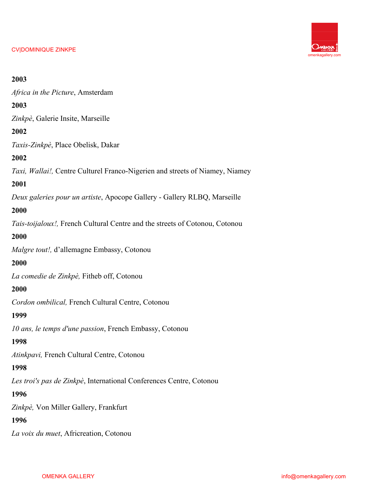

#### **2003**

*Africa in the Picture*, Amsterdam

# **2003**

*Zinkpè*, Galerie Insite, Marseille

## **2002**

*Taxis-Zinkpè*, Place Obelisk, Dakar

## **2002**

*Taxi, Wallai!,* Centre Culturel Franco-Nigerien and streets of Niamey, Niamey

# **2001**

*Deux galeries pour un artiste*, Apocope Gallery - Gallery RLBQ, Marseille

## **2000**

*Tais-toijaloux!,* French Cultural Centre and the streets of Cotonou, Cotonou

# **2000**

*Malgre tout!,* d'allemagne Embassy, Cotonou

## **2000**

*La comedie de Zinkpè,* Fitheb off, Cotonou

# **2000**

*Cordon ombilical,* French Cultural Centre, Cotonou

## **1999**

*10 ans, le temps d'une passion*, French Embassy, Cotonou

## **1998**

*Atinkpavi,* French Cultural Centre, Cotonou

## **1998**

*Les troi's pas de Zinkpè*, International Conferences Centre, Cotonou

## **1996**

*Zinkpè,* Von Miller Gallery, Frankfurt

# **1996**

*La voix du muet*, Africreation, Cotonou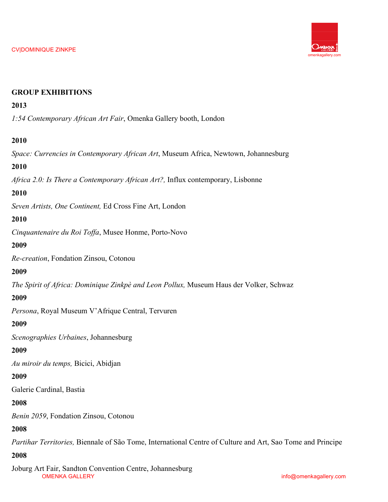

# **GROUP EXHIBITIONS**

# **2013**

*1:54 Contemporary African Art Fair*, Omenka Gallery booth, London

# **2010**

*Space: Currencies in Contemporary African Art*, Museum Africa, Newtown, Johannesburg

# **2010**

*Africa 2.0: Is There a Contemporary African Art?,* Influx contemporary, Lisbonne

# **2010**

*Seven Artists, One Continent,* Ed Cross Fine Art, London

## **2010**

*Cinquantenaire du Roi Toffa*, Musee Honme, Porto-Novo

# **2009**

*Re-creation*, Fondation Zinsou, Cotonou

## **2009**

*The Spirit of Africa: Dominique Zinkpè and Leon Pollux,* Museum Haus der Volker, Schwaz

## **2009**

*Persona*, Royal Museum V'Afrique Central, Tervuren

## **2009**

*Scenographies Urbaines*, Johannesburg

## **2009**

*Au miroir du temps,* Bicici, Abidjan

## **2009**

Galerie Cardinal, Bastia

## **2008**

*Benin 2059*, Fondation Zinsou, Cotonou

## **2008**

*Partihar Territories,* Biennale of São Tome, International Centre of Culture and Art, Sao Tome and Principe

## **2008**

OMENKA GALLERY info@omenkagallery.com Joburg Art Fair, Sandton Convention Centre, Johannesburg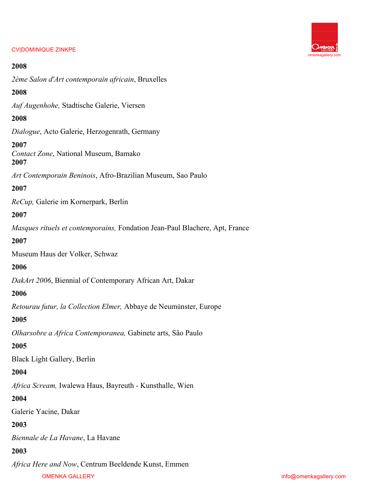## **2008**

*2ème Salon d'Art contemporain africain*, Bruxelles

## **2008**

*Auf Augenhohe,* Stadtische Galerie, Viersen

## **2008**

*Dialogue*, Acto Galerie, Herzogenrath, Germany

#### **2007**

*Contact Zone*, National Museum, Bamako **2007** 

*Art Contemporain Beninois*, Afro-Brazilian Museum, Sao Paulo

#### **2007**

*ReCup,* Galerie im Kornerpark, Berlin

## **2007**

*Masques rituels et contemporains,* Fondation Jean-Paul Blachere, Apt, France

## **2007**

Museum Haus der Volker, Schwaz

# **2006**

*DakArt 2006*, Biennial of Contemporary African Art, Dakar

## **2006**

*Retourau futur, la Collection Elmer,* Abbaye de Neumünster, Europe

## **2005**

*Olharsobre a Africa Contemporanea,* Gabinete arts, São Paulo

## **2005**

Black Light Gallery, Berlin

## **2004**

*Africa Scream,* Iwalewa Haus, Bayreuth - Kunsthalle, Wien

## **2004**

Galerie Yacine, Dakar

## **2003**

*Biennale de La Havane*, La Havane

# **2003**

OMENKA GALLERY info@omenkagallery.com *Africa Here and Now*, Centrum Beeldende Kunst, Emmen

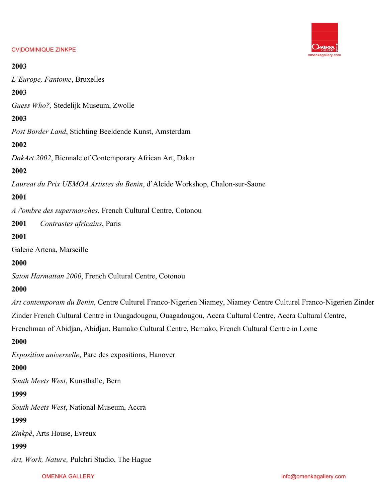# omenkagallery.com

#### CV|DOMINIQUE ZINKPE

## **2003**

*L'Europe, Fantome*, Bruxelles

# **2003**

*Guess Who?,* Stedelijk Museum, Zwolle

# **2003**

*Post Border Land*, Stichting Beeldende Kunst, Amsterdam

# **2002**

*DakArt 2002*, Biennale of Contemporary African Art, Dakar

# **2002**

*Laureat du Prix UEMOA Artistes du Benin*, d'Alcide Workshop, Chalon-sur-Saone

# **2001**

*A /'ombre des supermarches*, French Cultural Centre, Cotonou

**2001** *Contrastes africains*, Paris

# **2001**

Galene Artena, Marseille

## **2000**

*Saton Harmattan 2000*, French Cultural Centre, Cotonou

## **2000**

*Art contemporam du Benin,* Centre Culturel Franco-Nigerien Niamey, Niamey Centre Culturel Franco-Nigerien Zinder

Zinder French Cultural Centre in Ouagadougou, Ouagadougou, Accra Cultural Centre, Accra Cultural Centre,

Frenchman of Abidjan, Abidjan, Bamako Cultural Centre, Bamako, French Cultural Centre in Lome

## **2000**

*Exposition universelle*, Pare des expositions, Hanover

## **2000**

*South Meets West*, Kunsthalle, Bern

## **1999**

*South Meets West*, National Museum, Accra

# **1999**

*Zinkpè*, Arts House, Evreux

## **1999**

*Art, Work, Nature,* Pulchri Studio, The Hague